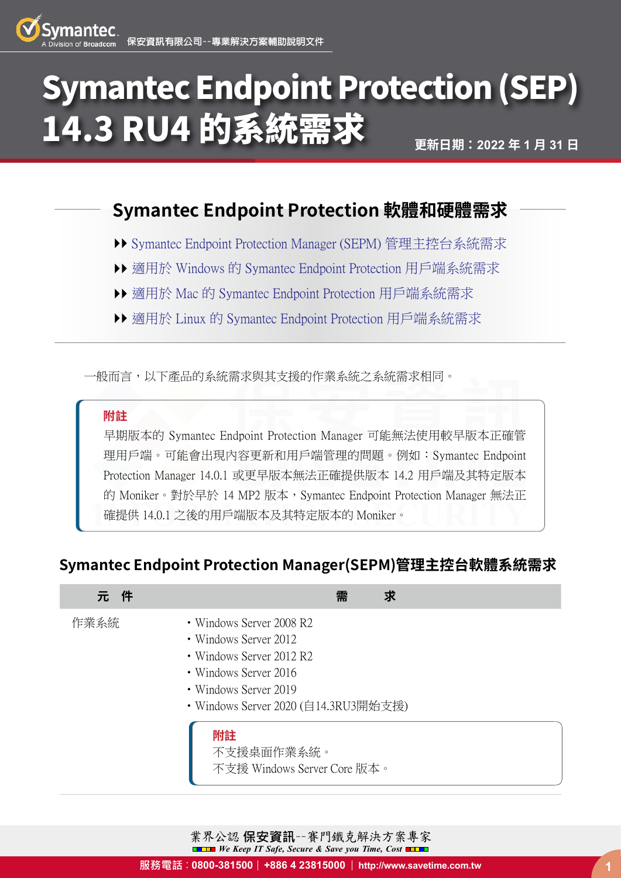# Symantec Endpoint Protection (SEP) 14.3 RU4 的系統需求 **更新日期:2022 年 1 月 31 <sup>日</sup>**

# **Symantec Endpoint Protection 軟體和硬體需求**

- ▶ [Symantec Endpoint Protection Manager \(SEPM\) 管理主控台系統需求](#page-0-0)
- }} [適用於 Windows 的 Symantec Endpoint Protection 用戶端系統需求](#page-3-0)
- ▶ [適用於 Mac 的 Symantec Endpoint Protection 用戶端系統需求](#page-8-0)
- ▶ [適用於 Linux 的 Symantec Endpoint Protection 用戶端系統需求](#page-8-1)

一般而言,以下產品的系統需求與其支援的作業系統之系統需求相同。

#### **附註**

早期版本的 Symantec Endpoint Protection Manager 可能無法使用較早版本正確管 理用戶端。可能會出現內容更新和用戶端管理的問題。例如:Symantec Endpoint Protection Manager 14.0.1 或更早版本無法正確提供版本 14.2 用戶端及其特定版本 的 Moniker。對於早於 14 MP2 版本,Symantec Endpoint Protection Manager 無法正 確提供 14.0.1 之後的用戶端版本及其特定版本的 Moniker。

#### <span id="page-0-0"></span>**Symantec Endpoint Protection Manager(SEPM)管理主控台軟體系統需求**

| 元件   | 需<br>ж                                                                                                                                                                  |
|------|-------------------------------------------------------------------------------------------------------------------------------------------------------------------------|
| 作業系統 | • Windows Server 2008 R2<br>• Windows Server 2012<br>• Windows Server 2012 R2<br>• Windows Server 2016<br>• Windows Server 2019<br>• Windows Server 2020 (自14.3RU3開始支援) |
|      | 附註<br>不支援桌面作業系統。<br>不支援 Windows Server Core 版本。                                                                                                                         |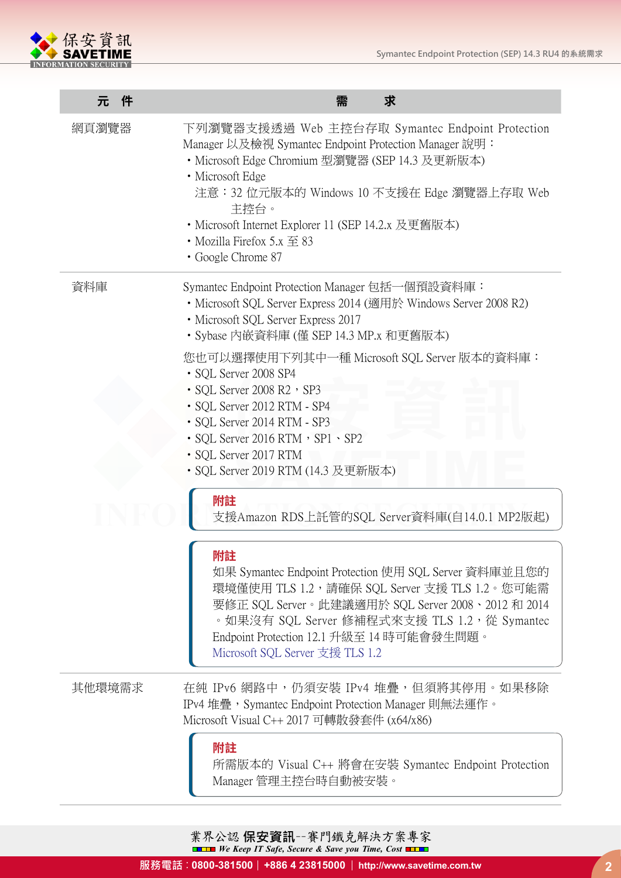

| 件<br>元 | 求<br>需                                                                                                                                                                                                                                                                                                                                                               |
|--------|----------------------------------------------------------------------------------------------------------------------------------------------------------------------------------------------------------------------------------------------------------------------------------------------------------------------------------------------------------------------|
| 網頁瀏覽器  | 下列瀏覽器支援透過 Web 主控台存取 Symantec Endpoint Protection<br>Manager 以及檢視 Symantec Endpoint Protection Manager 說明:<br>• Microsoft Edge Chromium 型瀏覽器 (SEP 14.3 及更新版本)<br>• Microsoft Edge<br>注意:32 位元版本的 Windows 10 不支援在 Edge 瀏覽器上存取 Web<br>主控台。<br>• Microsoft Internet Explorer 11 (SEP 14.2.x 及更舊版本)<br>• Mozilla Firefox 5.x $\overline{\oplus}$ 83<br>• Google Chrome 87 |
| 資料庫    | Symantec Endpoint Protection Manager 包括一個預設資料庫:<br>• Microsoft SQL Server Express 2014 (適用於 Windows Server 2008 R2)<br>• Microsoft SQL Server Express 2017<br>・Sybase 内嵌資料庫 (僅 SEP 14.3 MP.x 和更舊版本)                                                                                                                                                                  |
|        | 您也可以選擇使用下列其中一種 Microsoft SQL Server 版本的資料庫:<br>• SQL Server 2008 SP4<br>• SQL Server 2008 R2 , SP3<br>• SQL Server 2012 RTM - SP4<br>· SQL Server 2014 RTM - SP3<br>• SQL Server 2016 RTM, SP1 · SP2<br>· SQL Server 2017 RTM<br>・SQL Server 2019 RTM (14.3 及更新版本)                                                                                                   |
|        | 附註<br>支援Amazon RDS上託管的SQL Server資料庫(自14.0.1 MP2版起)                                                                                                                                                                                                                                                                                                                   |
|        | 附註<br>如果 Symantec Endpoint Protection 使用 SQL Server 資料庫並且您的<br>環境僅使用 TLS 1.2,請確保 SQL Server 支援 TLS 1.2。您可能需<br>要修正 SQL Server。此建議適用於 SQL Server 2008、2012 和 2014<br>。如果沒有 SQL Server 修補程式來支援 TLS 1.2,從 Symantec<br>Endpoint Protection 12.1 升級至 14 時可能會發生問題。<br>Microsoft SQL Server 支援 TLS 1.2                                                                      |
| 其他環境需求 | 在純 IPv6 網路中,仍須安裝 IPv4 堆疊,但須將其停用。如果移除<br>IPv4 堆疊,Symantec Endpoint Protection Manager 則無法運作。<br>Microsoft Visual C++ 2017 可轉散發套件 (x64/x86)                                                                                                                                                                                                                            |
|        | 附註<br>所需版本的 Visual C++ 將會在安裝 Symantec Endpoint Protection<br>Manager 管理主控台時自動被安裝。                                                                                                                                                                                                                                                                                    |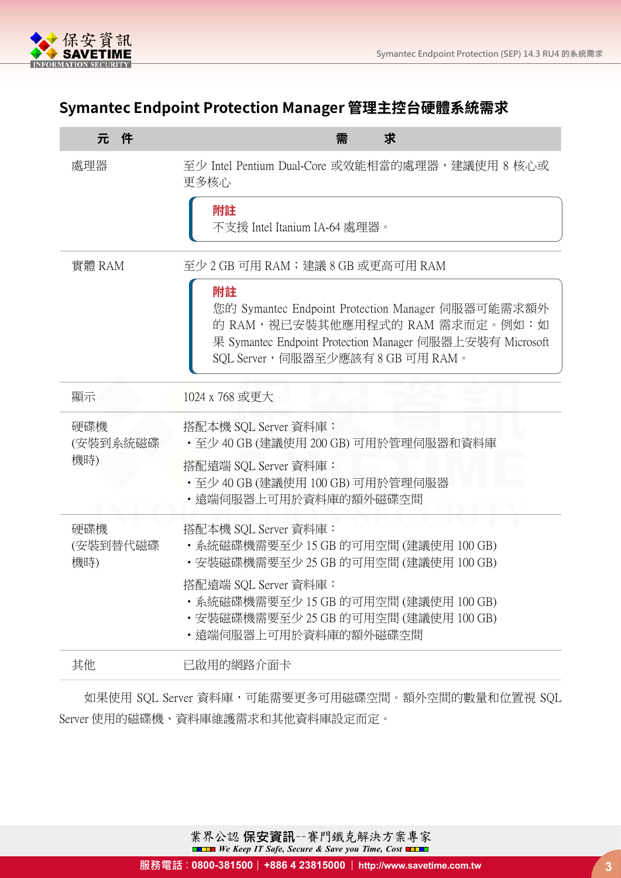

# **Symantec Endpoint Protection Manager 管理主控台硬體系統需求**

| 件<br>元                 | 求<br>需                                                                                                                                                                                    |
|------------------------|-------------------------------------------------------------------------------------------------------------------------------------------------------------------------------------------|
| 處理器                    | 至少 Intel Pentium Dual-Core 或效能相當的處理器,建議使用 8 核心或<br>更多核心                                                                                                                                   |
|                        | 附註<br>不支援 Intel Itanium IA-64 處理器。                                                                                                                                                        |
| 實體 RAM                 | 至少 2 GB 可用 RAM; 建議 8 GB 或更高可用 RAM                                                                                                                                                         |
|                        | 附註<br>您的 Symantec Endpoint Protection Manager 伺服器可能需求額外<br>的 RAM,視已安裝其他應用程式的 RAM 需求而定。例如:如<br>果 Symantec Endpoint Protection Manager 伺服器上安装有 Microsoft<br>SQL Server, 伺服器至少應該有8GB 可用 RAM。 |
| 顯示                     | 1024 x 768 或更大                                                                                                                                                                            |
| 硬碟機<br>(安裝到系統磁碟<br>機時) | 搭配本機 SQL Server 資料庫:<br>・至少 40 GB (建議使用 200 GB) 可用於管理伺服器和資料庫                                                                                                                              |
|                        | 搭配遠端 SQL Server 資料庫:<br>· 至少 40 GB (建議使用 100 GB) 可用於管理伺服器<br>・遠端伺服器上可用於資料庫的額外磁碟空間                                                                                                         |
| 硬碟機<br>(安裝到替代磁碟<br>機時) | 搭配本機 SQL Server 資料庫:<br>・系統磁碟機需要至少 15 GB 的可用空間 (建議使用 100 GB)<br>• 安裝磁碟機需要至少 25 GB 的可用空間 (建議使用 100 GB)                                                                                     |
|                        | 搭配遠端 SQL Server 資料庫:<br>・系統磁碟機需要至少 15 GB 的可用空間 (建議使用 100 GB)<br>• 安裝磁碟機需要至少 25 GB 的可用空間 (建議使用 100 GB)<br>•遠端伺服器上可用於資料庫的額外磁碟空間                                                             |
| 其他                     | 已啟用的網路介面卡                                                                                                                                                                                 |

如果使用 SQL Server 資料庫,可能需要更多可用磁碟空間。額外空間的數量和位置視 SQL Server 使用的磁碟機、資料庫維護需求和其他資料庫設定而定。

業界公認 **保安資訊**--賽門鐵克解決方案專家

*We Keep IT Safe, Secure & Save you Time, Cost*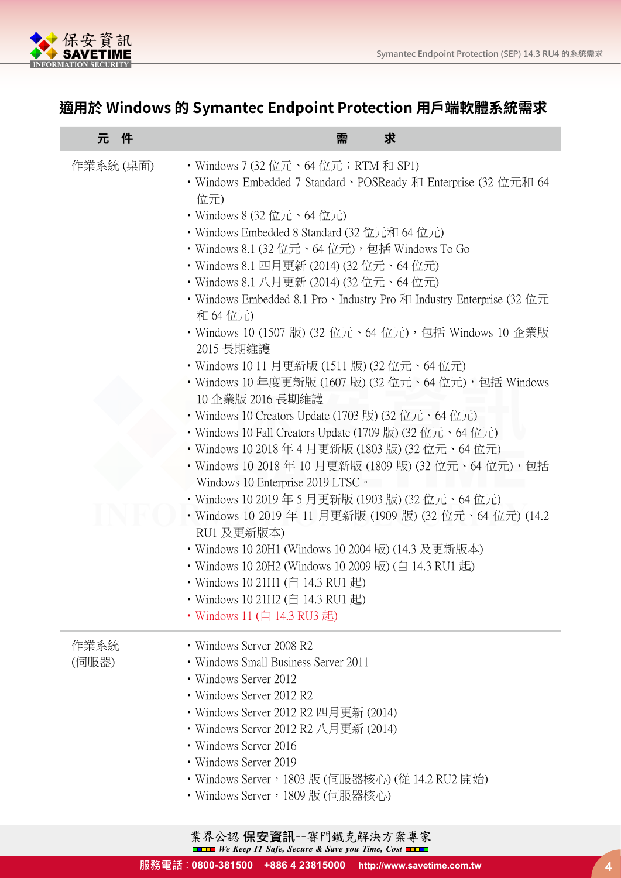



# <span id="page-3-0"></span>**適用於 Windows 的 Symantec Endpoint Protection 用戶端軟體系統需求**

| 件<br>元        | 求<br>需                                                                                                                                                                                                                                                                                                                                                                                                                                                                                                                                                                                                                                                                                                                                                                                                                                                                                                                                                                                                                                                                                                                                                                                                                                                     |
|---------------|------------------------------------------------------------------------------------------------------------------------------------------------------------------------------------------------------------------------------------------------------------------------------------------------------------------------------------------------------------------------------------------------------------------------------------------------------------------------------------------------------------------------------------------------------------------------------------------------------------------------------------------------------------------------------------------------------------------------------------------------------------------------------------------------------------------------------------------------------------------------------------------------------------------------------------------------------------------------------------------------------------------------------------------------------------------------------------------------------------------------------------------------------------------------------------------------------------------------------------------------------------|
| 作業系統 (桌面)     | • Windows 7 (32 位元、64 位元;RTM 和 SP1)<br>• Windows Embedded 7 Standard · POSReady 和 Enterprise (32 位元和 64<br>位元)<br>• Windows 8 (32 位元、64 位元)<br>• Windows Embedded 8 Standard (32 位元和 64 位元)<br>• Windows 8.1 (32 位元、64 位元),包括 Windows To Go<br>・Windows 8.1 四月更新 (2014) (32 位元、64 位元)<br>・Windows 8.1 八月更新 (2014) (32 位元、64 位元)<br>• Windows Embedded 8.1 Pro $\cdot$ Industry Pro $\hbar$ I Industry Enterprise (32 位元)<br>和 64 位元)<br>• Windows 10 (1507 版) (32 位元、64 位元),包括 Windows 10 企業版<br>2015 長期維護<br>・Windows 10 11 月更新版 (1511 版) (32 位元、64 位元)<br>• Windows 10 年度更新版 (1607 版) (32 位元、64 位元),包括 Windows<br>10 企業版 2016 長期維護<br>• Windows 10 Creators Update (1703 版) (32 位元、64 位元)<br>• Windows 10 Fall Creators Update (1709 版) (32 位元、64 位元)<br>・Windows 10 2018 年 4 月更新版 (1803 版) (32 位元、64 位元)<br>・Windows 10 2018 年 10 月更新版 (1809 版) (32 位元、64 位元),包括<br>Windows 10 Enterprise 2019 LTSC ·<br>・Windows 10 2019 年 5 月更新版 (1903 版) (32 位元、64 位元)<br>・Windows 10 2019 年 11 月更新版 (1909 版) (32 位元、64 位元) (14.2<br>RU1 及更新版本)<br>• Windows 10 20H1 (Windows 10 2004 版) (14.3 及更新版本)<br>• Windows 10 20H2 (Windows 10 2009 版) (自 14.3 RU1 起)<br>• Windows 10 21H1 (自 14.3 RU1 起)<br>• Windows 10 21H2 (自 14.3 RU1 起)<br>• Windows 11 (自 14.3 RU3 起) |
| 作業系統<br>(伺服器) | • Windows Server 2008 R2<br>• Windows Small Business Server 2011<br>• Windows Server 2012<br>• Windows Server 2012 R2<br>• Windows Server 2012 R2 四月更新 (2014)<br>• Windows Server 2012 R2 八月更新 (2014)<br>• Windows Server 2016<br>• Windows Server 2019<br>・Windows Server,1803 版 (伺服器核心) (從 14.2 RU2 開始)<br>• Windows Server,1809 版 (伺服器核心)                                                                                                                                                                                                                                                                                                                                                                                                                                                                                                                                                                                                                                                                                                                                                                                                                                                                                                               |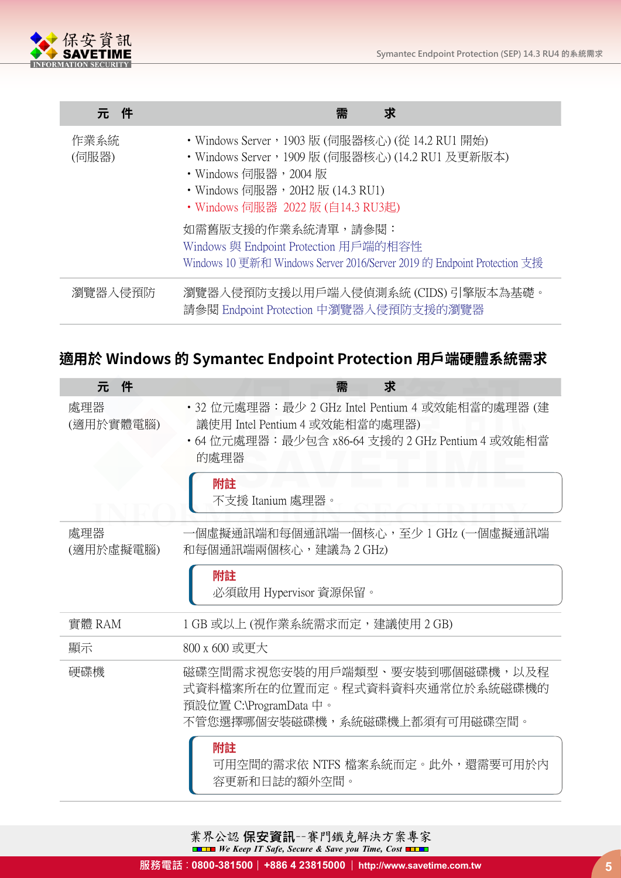

| 元件            | 需                                                                                                                                                                                                  |
|---------------|----------------------------------------------------------------------------------------------------------------------------------------------------------------------------------------------------|
| 作業系統<br>(伺服器) | • Windows Server,1903 版 (伺服器核心) (從 14.2 RU1 開始)<br>• Windows Server,1909 版 (伺服器核心) (14.2 RU1 及更新版本)<br>・Windows 伺服器,2004 版<br>• Windows 伺服器,20H2 版 (14.3 RU1)<br>• Windows 伺服器 2022 版 (自14.3 RU3起) |
|               | 如需舊版支援的作業系統清單,請參閱:<br>Windows 與 Endpoint Protection 用戶端的相容性<br>Windows 10 更新和 Windows Server 2016/Server 2019 的 Endpoint Protection 支援                                                             |
| 瀏覽器入侵預防       | 瀏覽器入侵預防支援以用戶端入侵偵測系統 (CIDS) 引擎版本為基礎。<br>請參閱 Endpoint Protection 中瀏覽器入侵預防支援的瀏覽器                                                                                                                      |

# **適用於 Windows 的 Symantec Endpoint Protection 用戶端硬體系統需求**

| 件<br>元           | 求<br>需                                                                                                                                       |
|------------------|----------------------------------------------------------------------------------------------------------------------------------------------|
| 處理器<br>(適用於實體電腦) | ・32 位元處理器:最少 2 GHz Intel Pentium 4 或效能相當的處理器 (建<br>議使用 Intel Pentium 4 或效能相當的處理器)<br>・64 位元處理器:最少包含 x86-64 支援的 2 GHz Pentium 4 或效能相當<br>的處理器 |
|                  | 附註<br>不支援 Itanium 處理器。                                                                                                                       |
| 處理器<br>(適用於虛擬電腦) | 一個虛擬通訊端和每個通訊端一個核心,至少 1 GHz (一個虛擬通訊端<br>和每個通訊端兩個核心,建議為 2 GHz)                                                                                 |
|                  | 附註<br>必須啟用 Hypervisor 資源保留。                                                                                                                  |
| 實體 RAM           | 1 GB 或以上 (視作業系統需求而定,建議使用 2 GB)                                                                                                               |
| 顯示               | 800 x 600 或更大                                                                                                                                |
| 硬碟機              | 磁碟空間需求視您安裝的用戶端類型、要安裝到哪個磁碟機,以及程<br>式資料檔案所在的位置而定。程式資料資料夾通常位於系統磁碟機的<br>預設位置 C:\ProgramData 中。<br>不管您選擇哪個安裝磁碟機,系統磁碟機上都須有可用磁碟空間。                  |
|                  | 附註<br>可用空間的需求依 NTFS 檔案系統而定。此外,還需要可用於內<br>容更新和日誌的額外空間。                                                                                        |

業界公認 **保安資訊**--賽門鐵克解決方案專家

*We Keep IT Safe, Secure & Save you Time, Cost*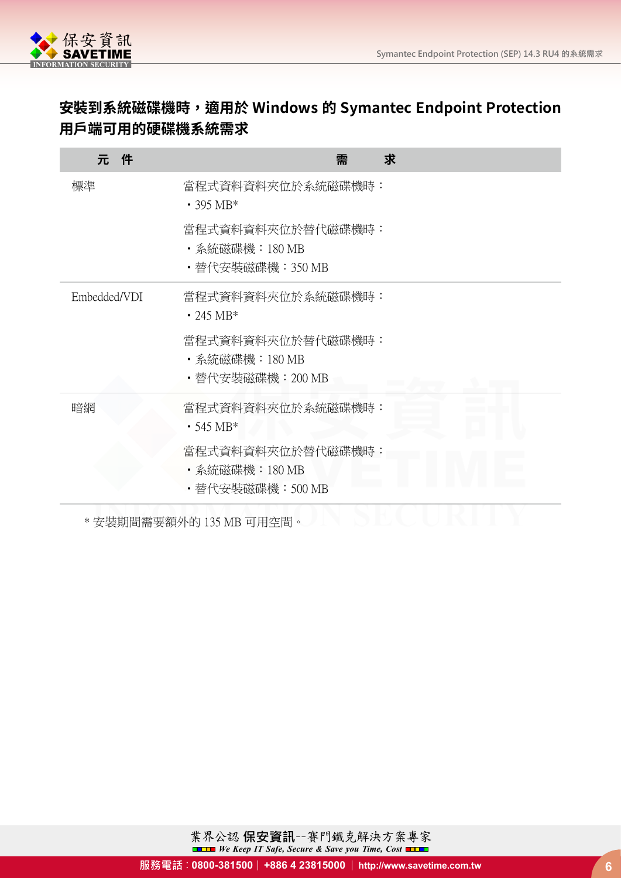

#### **安裝到系統磁碟機時,適用於 Windows 的 Symantec Endpoint Protection 用戶端可用的硬碟機系統需求**

| 件<br>元       | 求<br>需                                                 |
|--------------|--------------------------------------------------------|
| 標準           | 當程式資料資料夾位於系統磁碟機時:<br>$\cdot$ 395 MB*                   |
|              | 當程式資料資料夾位於替代磁碟機時:<br>・ 系統磁碟機:180 MB<br>・替代安裝磁碟機:350 MB |
| Embedded/VDI | 當程式資料資料夾位於系統磁碟機時:<br>• 245 MB*                         |
|              | 當程式資料資料夾位於替代磁碟機時:<br>・ 系統磁碟機:180 MB<br>・替代安裝磁碟機:200 MB |
| 暗網           | 當程式資料資料夾位於系統磁碟機時:<br>$\cdot$ 545 MB*                   |
|              | 當程式資料資料夾位於替代磁碟機時:<br>・ 系統磁碟機:180 MB<br>・替代安裝磁碟機:500 MB |

\* 安裝期間需要額外的 135 MB 可用空間。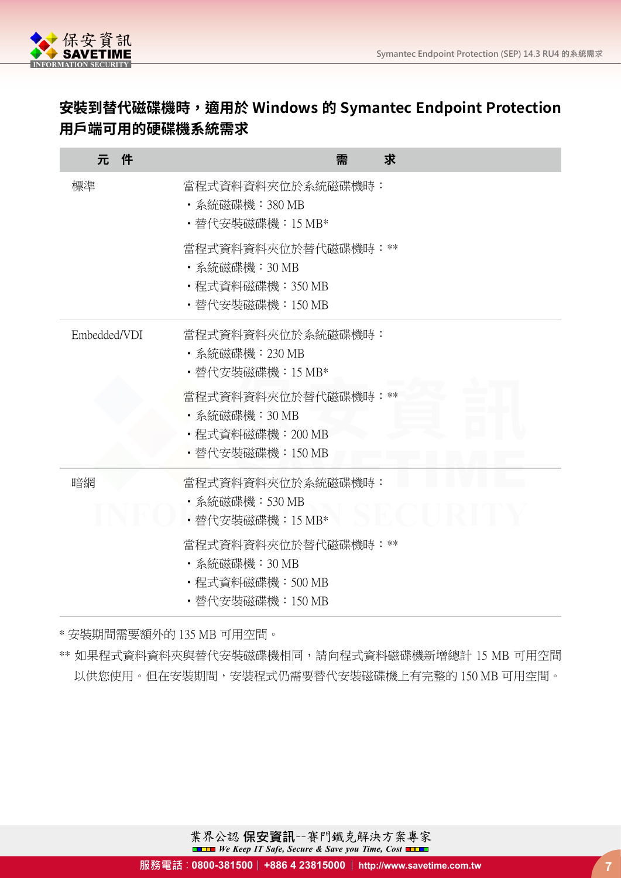

#### **安裝到替代磁碟機時,適用於 Windows 的 Symantec Endpoint Protection 用戶端可用的硬碟機系統需求**

| 件<br>元       | 求<br>需                                                                     |
|--------------|----------------------------------------------------------------------------|
| 標準           | 當程式資料資料夾位於系統磁碟機時:<br>・ 系統磁碟機:380 MB<br>・替代安裝磁碟機:15 MB*                     |
|              | 當程式資料資料夾位於替代磁碟機時:**<br>・ 系統磁碟機:30 MB<br>・程式資料磁碟機:350 MB<br>・替代安裝磁碟機:150 MB |
| Embedded/VDI | 當程式資料資料夾位於系統磁碟機時:<br>・ 系統磁碟機:230 MB<br>・替代安裝磁碟機:15 MB*                     |
|              | 當程式資料資料夾位於替代磁碟機時:<br>・ 系統磁碟機:30 MB<br>・程式資料磁碟機:200 MB<br>・替代安裝磁碟機:150 MB   |
| 暗網           | 當程式資料資料夾位於系統磁碟機時:<br>・ 系統磁碟機:530 MB<br>・替代安裝磁碟機:15 MB*                     |
|              | 當程式資料資料夾位於替代磁碟機時:**<br>・ 系統磁碟機:30 MB<br>・程式資料磁碟機:500 MB<br>・替代安裝磁碟機:150 MB |

\* 安裝期間需要額外的 135 MB 可用空間。

\*\* 如果程式資料資料夾與替代安裝磁碟機相同,請向程式資料磁碟機新增總計 15 MB 可用空間 以供您使用。但在安裝期間,安裝程式仍需要替代安裝磁碟機上有完整的 150 MB 可用空間。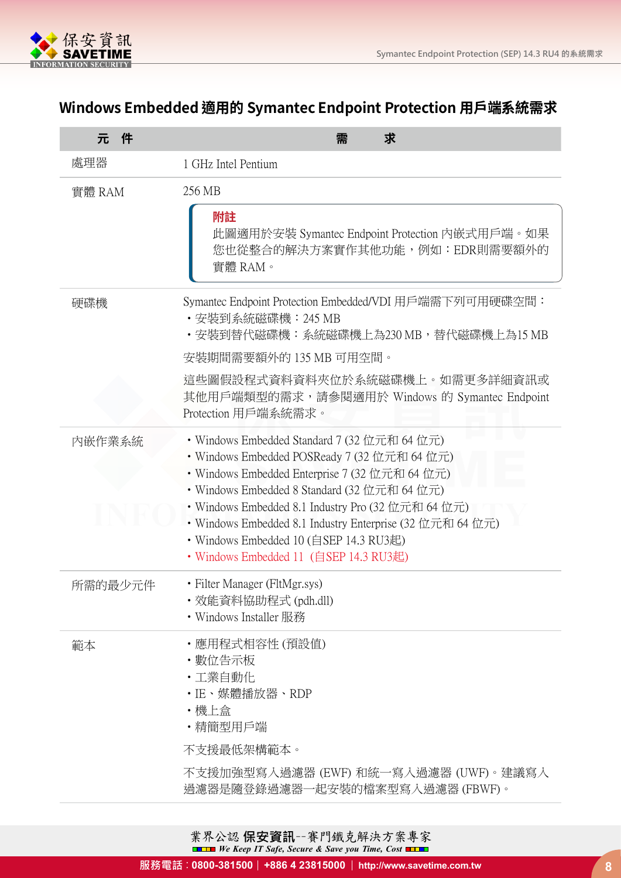

# **Windows Embedded 適用的 Symantec Endpoint Protection 用戶端系統需求**

| 件<br>元  | 求<br>需                                                                                                                                                                                                                                                                                                                                                                                                |
|---------|-------------------------------------------------------------------------------------------------------------------------------------------------------------------------------------------------------------------------------------------------------------------------------------------------------------------------------------------------------------------------------------------------------|
| 處理器     | 1 GHz Intel Pentium                                                                                                                                                                                                                                                                                                                                                                                   |
| 實體 RAM  | 256 MB                                                                                                                                                                                                                                                                                                                                                                                                |
|         | 附註<br>此圖適用於安裝 Symantec Endpoint Protection 内嵌式用戶端。如果<br>您也從整合的解決方案實作其他功能,例如:EDR則需要額外的<br>實體 RAM。                                                                                                                                                                                                                                                                                                      |
| 硬碟機     | Symantec Endpoint Protection Embedded/VDI 用戶端需下列可用硬碟空間:<br>・安裝到系統磁碟機:245 MB<br>• 安裝到替代磁碟機:系統磁碟機上為230 MB, 替代磁碟機上為15 MB                                                                                                                                                                                                                                                                                 |
|         | 安裝期間需要額外的 135 MB 可用空間。                                                                                                                                                                                                                                                                                                                                                                                |
|         | 這些圖假設程式資料資料夾位於系統磁碟機上。如需更多詳細資訊或<br>其他用戶端類型的需求,請參閱適用於 Windows 的 Symantec Endpoint<br>Protection 用戶端系統需求。                                                                                                                                                                                                                                                                                                |
| 内嵌作業系統  | • Windows Embedded Standard 7 (32 位元和 64 位元)<br>• Windows Embedded POSReady 7 (32 位元和 64 位元)<br>• Windows Embedded Enterprise 7 (32 位元和 64 位元)<br>• Windows Embedded 8 Standard (32 位元和 64 位元)<br>• Windows Embedded 8.1 Industry Pro (32 位元和 64 位元)<br>• Windows Embedded 8.1 Industry Enterprise (32 位元和 64 位元)<br>• Windows Embedded 10 (自SEP 14.3 RU3起)<br>• Windows Embedded 11 (自SEP 14.3 RU3起) |
| 所需的最少元件 | • Filter Manager (FltMgr.sys)<br>・效能資料協助程式 (pdh.dll)<br>• Windows Installer 服務                                                                                                                                                                                                                                                                                                                        |
| 範本      | ・應用程式相容性 (預設值)<br>・數位告示板<br>·工業自動化<br>・IE、媒體播放器、RDP<br>・機上盒<br>・精簡型用戶端<br>不支援最低架構範本。<br>不支援加強型寫入過濾器 (EWF) 和統一寫入過濾器 (UWF)。建議寫入<br>過濾器是隨登錄過濾器一起安裝的檔案型寫入過濾器 (FBWF)。                                                                                                                                                                                                                                      |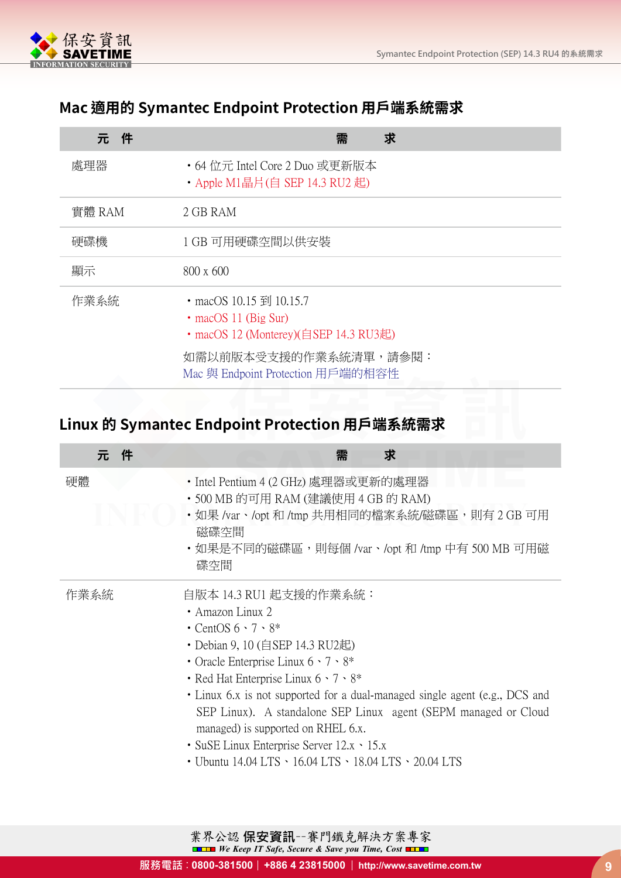

#### <span id="page-8-0"></span>**Mac 適用的 Symantec Endpoint Protection 用戶端系統需求**

| 件<br>元 | 需<br>求                                                                                         |
|--------|------------------------------------------------------------------------------------------------|
| 處理器    | • 64 位元 Intel Core 2 Duo 或更新版本<br>• Apple M1晶片(自 SEP 14.3 RU2 起)                               |
| 實體 RAM | 2 GB RAM                                                                                       |
| 硬碟機    | 1 GB 可用硬碟空間以供安裝                                                                                |
|        |                                                                                                |
| 顯示     | 800 x 600                                                                                      |
| 作業系統   | • macOS 10.15 到 10.15.7<br>$\cdot$ macOS 11 (Big Sur)<br>• macOS 12 (Monterey)(自SEP 14.3 RU3起) |

# <span id="page-8-1"></span>**Linux 的 Symantec Endpoint Protection 用戶端系統需求**

| 件<br>元 | 需<br>求                                                                                                                                                                                                                                                                                                                                                                                                                                                                                                                        |
|--------|-------------------------------------------------------------------------------------------------------------------------------------------------------------------------------------------------------------------------------------------------------------------------------------------------------------------------------------------------------------------------------------------------------------------------------------------------------------------------------------------------------------------------------|
| 硬體     | • Intel Pentium 4 (2 GHz) 處理器或更新的處理器<br>・500 MB 的可用 RAM (建議使用 4 GB 的 RAM)<br>・如果 /var、/opt 和 /tmp 共用相同的檔案系統/磁碟區,則有 2 GB 可用<br>磁碟空間<br>・如果是不同的磁碟區,則每個 /var、/opt 和 /tmp 中有 500 MB 可用磁<br>碟空間                                                                                                                                                                                                                                                                                                                                    |
| 作業系統   | 自版本 14.3 RU1 起支援的作業系統:<br>• Amazon Linux 2<br>$\cdot$ CentOS 6 $\cdot$ 7 $\cdot$ 8*<br>• Debian 9, 10 (自SEP 14.3 RU2起)<br>• Oracle Enterprise Linux $6 \cdot 7 \cdot 8^*$<br>• Red Hat Enterprise Linux $6 \cdot 7 \cdot 8^*$<br>• Linux 6.x is not supported for a dual-managed single agent (e.g., DCS and<br>SEP Linux). A standalone SEP Linux agent (SEPM managed or Cloud<br>managed) is supported on RHEL 6.x.<br>• SuSE Linux Enterprise Server 12.x · 15.x<br>• Ubuntu 14.04 LTS · 16.04 LTS · 18.04 LTS · 20.04 LTS |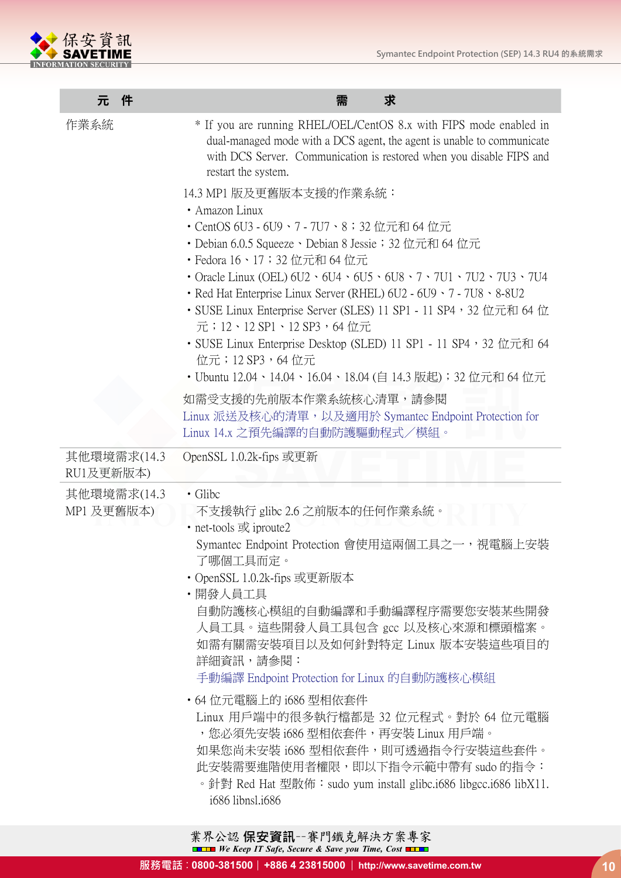

| 件<br>元                    | 求<br>需                                                                                                                                                                                                                                                                                                                                                                                                                                                                                                                                                                                     |
|---------------------------|--------------------------------------------------------------------------------------------------------------------------------------------------------------------------------------------------------------------------------------------------------------------------------------------------------------------------------------------------------------------------------------------------------------------------------------------------------------------------------------------------------------------------------------------------------------------------------------------|
| 作業系統                      | * If you are running RHEL/OEL/CentOS 8.x with FIPS mode enabled in<br>dual-managed mode with a DCS agent, the agent is unable to communicate<br>with DCS Server. Communication is restored when you disable FIPS and<br>restart the system.                                                                                                                                                                                                                                                                                                                                                |
|                           | 14.3 MP1 版及更舊版本支援的作業系統:<br>• Amazon Linux<br>・CentOS 6U3 - 6U9、7 - 7U7、8;32 位元和 64 位元<br>• Debian 6.0.5 Squeeze · Debian 8 Jessie ;32 位元和 64 位元<br>・Fedora 16、17;32 位元和 64 位元<br>• Oracle Linux (OEL) 6U2 · 6U4 · 6U5 · 6U8 · 7 · 7U1 · 7U2 · 7U3 · 7U4<br>• Red Hat Enterprise Linux Server (RHEL) 6U2 - 6U9 · 7 - 7U8 · 8-8U2<br>• SUSE Linux Enterprise Server (SLES) 11 SP1 - 11 SP4, 32 位元和 64 位<br>元; 12、12 SP1、12 SP3,64 位元<br>• SUSE Linux Enterprise Desktop (SLED) 11 SP1 - 11 SP4 , 32 位元和 64<br>位元; 12 SP3, 64 位元<br>• Ubuntu 12.04、14.04、16.04、18.04 (自 14.3 版起);32 位元和 64 位元 |
|                           | 如需受支援的先前版本作業系統核心清單,請參閱<br>Linux 派送及核心的清單,以及適用於 Symantec Endpoint Protection for<br>Linux 14.x 之預先編譯的自動防護驅動程式/模組。                                                                                                                                                                                                                                                                                                                                                                                                                                                                           |
| 其他環境需求(14.3<br>RU1及更新版本)  | OpenSSL 1.0.2k-fips 或更新                                                                                                                                                                                                                                                                                                                                                                                                                                                                                                                                                                    |
| 其他環境需求(14.3<br>MP1 及更舊版本) | • Glibc<br>不支援執行 glibc 2.6 之前版本的任何作業系統。<br>• net-tools 或 iproute2<br>Symantec Endpoint Protection 會使用這兩個工具之一,視電腦」<br>了哪個工具而定。<br>• OpenSSL 1.0.2k-fips 或更新版本<br>・開發人員工具<br>自動防護核心模組的自動編譯和手動編譯程序需要您安裝某些開發<br>人員工具。這些開發人員工具包含 gcc 以及核心來源和標頭檔案。<br>如需有關需安裝項目以及如何針對特定 Linux 版本安裝這些項目的<br>詳細資訊,請參閱:<br>手動編譯 Endpoint Protection for Linux 的自動防護核心模組<br>・64 位元電腦上的 i686 型相依套件                                                                                                                                                                                                                    |
|                           | Linux 用戶端中的很多執行檔都是 32 位元程式。對於 64 位元電腦<br>,您必須先安裝 i686 型相依套件,再安裝 Linux 用戶端。<br>如果您尚未安裝 i686 型相依套件,則可透過指令行安裝這些套件。<br>此安裝需要進階使用者權限,即以下指令示範中帶有 sudo 的指令:<br>。針對 Red Hat 型散佈:sudo yum install glibc.i686 libgcc.i686 libX11.<br>i686 libnsl.i686                                                                                                                                                                                                                                                                                                                                                |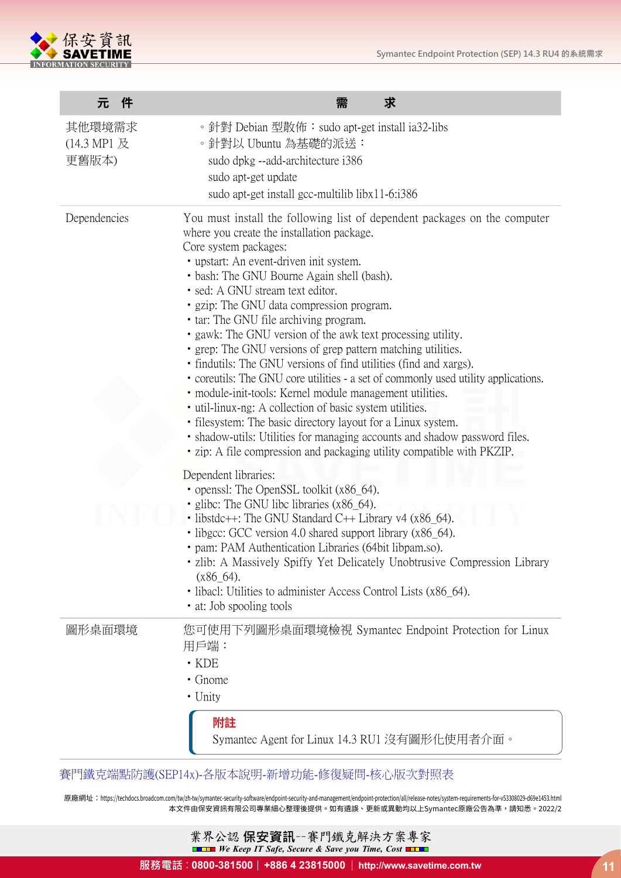

| 件<br>元                         | 求<br>需                                                                                                                                                                                                                                                                                                                                                                                                                                                                                                                                                                                                                                                                                                                                                                                                                                                                                                                                                                                                         |
|--------------------------------|----------------------------------------------------------------------------------------------------------------------------------------------------------------------------------------------------------------------------------------------------------------------------------------------------------------------------------------------------------------------------------------------------------------------------------------------------------------------------------------------------------------------------------------------------------------------------------------------------------------------------------------------------------------------------------------------------------------------------------------------------------------------------------------------------------------------------------------------------------------------------------------------------------------------------------------------------------------------------------------------------------------|
| 其他環境需求<br>(14.3 MP1 及<br>更舊版本) | 。針對 Debian 型散佈: sudo apt-get install ia32-libs<br>。針對以 Ubuntu 為基礎的派送:<br>sudo dpkg --add-architecture i386<br>sudo apt-get update<br>sudo apt-get install gcc-multilib libx11-6:i386                                                                                                                                                                                                                                                                                                                                                                                                                                                                                                                                                                                                                                                                                                                                                                                                                           |
| Dependencies                   | You must install the following list of dependent packages on the computer<br>where you create the installation package.<br>Core system packages:<br>• upstart: An event-driven init system.<br>• bash: The GNU Bourne Again shell (bash).<br>· sed: A GNU stream text editor.<br>• gzip: The GNU data compression program.<br>• tar: The GNU file archiving program.<br>• gawk: The GNU version of the awk text processing utility.<br>• grep: The GNU versions of grep pattern matching utilities.<br>• findutils: The GNU versions of find utilities (find and xargs).<br>• coreutils: The GNU core utilities - a set of commonly used utility applications.<br>· module-init-tools: Kernel module management utilities.<br>• util-linux-ng: A collection of basic system utilities.<br>• filesystem: The basic directory layout for a Linux system.<br>• shadow-utils: Utilities for managing accounts and shadow password files.<br>• zip: A file compression and packaging utility compatible with PKZIP. |
|                                | Dependent libraries:<br>• openssl: The OpenSSL toolkit (x86_64).<br>• glibc: The GNU libc libraries (x86 64).<br>• libstdc++: The GNU Standard C++ Library v4 (x86_64).<br>• libgcc: GCC version 4.0 shared support library (x86 64).<br>• pam: PAM Authentication Libraries (64bit libpam.so).<br>• zlib: A Massively Spiffy Yet Delicately Unobtrusive Compression Library<br>$(x86, 64)$ .<br>• libacl: Utilities to administer Access Control Lists (x86_64).<br>• at: Job spooling tools                                                                                                                                                                                                                                                                                                                                                                                                                                                                                                                  |
| 圖形桌面環境                         | 您可使用下列圖形桌面環境檢視 Symantec Endpoint Protection for Linux<br>用戶端:<br>$\cdot$ KDE<br>• Gnome<br>• Unity                                                                                                                                                                                                                                                                                                                                                                                                                                                                                                                                                                                                                                                                                                                                                                                                                                                                                                             |
|                                | 附註<br>Symantec Agent for Linux 14.3 RU1 沒有圖形化使用者介面。                                                                                                                                                                                                                                                                                                                                                                                                                                                                                                                                                                                                                                                                                                                                                                                                                                                                                                                                                            |

[賽門鐵克端點防護\(SEP14x\)-各版本說明-新增功能-修復疑問-核心版次對照表](https://www.savetime.com.tw/whatsnew/SEP14x-Release-list.pdf)

本文件由保安資訊有限公司專業細心整理後提供。如有遺誤、更新或異動均以上Symantec原廠公告為準,請知悉。2022/2 原廠網址[:https://techdocs.broadcom.com/tw/zh-tw/symantec-security-software/endpoint-security-and-management/endpoint-protection/all/release-notes/system-requirements-for-v53308029-d69e1453.html](https://techdocs.broadcom.com/tw/zh-tw/symantec-security-software/endpoint-security-and-management/endpoint-protection/all/release-notes/system-requirements-for-v53308029-d69e1453.html)